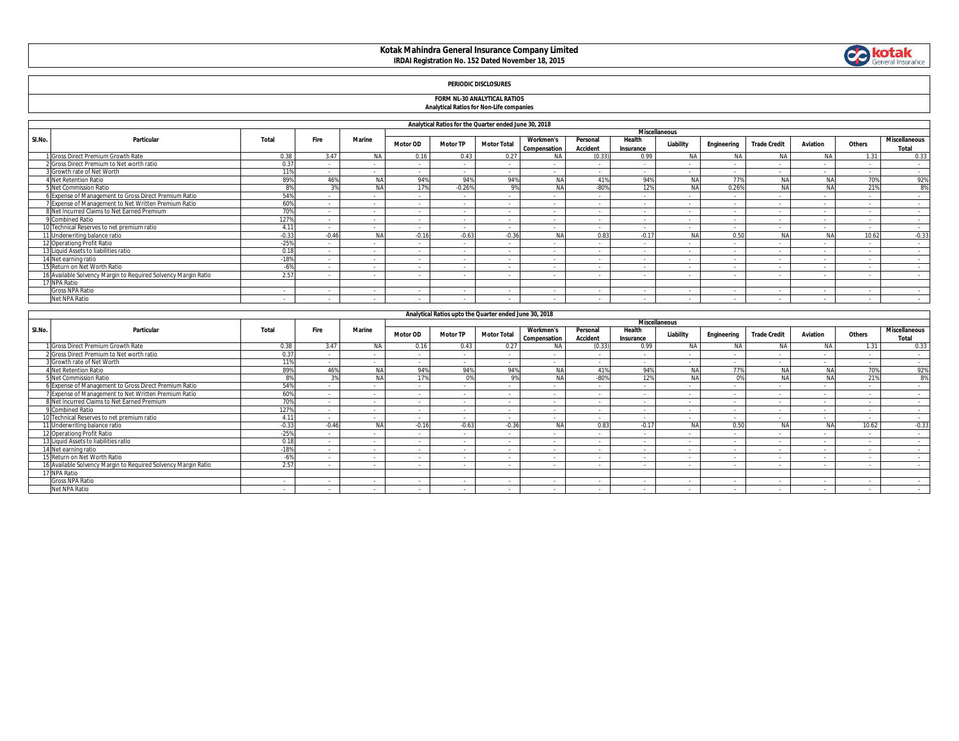# **Kotak Mahindra General Insurance Company Limited IRDAI Registration No. 152 Dated November 18, 2015**



## **PERIODIC DISCLOSURES**

#### **FORM NL-30 ANALYTICAL RATIOS Analytical Ratios for Non-Life companies**

|  | <b>Alialytical Katios for Norr-Life companies</b> |
|--|---------------------------------------------------|
|  |                                                   |

|                      | Analytical Ratios for the Quarter ended June 30, 2018          |         |         |           |                 |                 |                          |                                  |                             |                     |           |             |                      |                 |        |                               |
|----------------------|----------------------------------------------------------------|---------|---------|-----------|-----------------|-----------------|--------------------------|----------------------------------|-----------------------------|---------------------|-----------|-------------|----------------------|-----------------|--------|-------------------------------|
| <b>Miscellaneous</b> |                                                                |         |         |           |                 |                 |                          |                                  |                             |                     |           |             |                      |                 |        |                               |
| SI.No.               | Particular                                                     | Total   | Fire    | Marine    | <b>Motor OD</b> | <b>Motor TP</b> | <b>Motor Total</b>       | <b>Workmen's</b><br>Compensation | Personal<br><b>Accident</b> | Health<br>Insurance | Liability | Engineering | <b>Trade Credit</b>  | <b>Aviation</b> | Others | <b>Miscellaneous</b><br>Total |
|                      | 1 Gross Direct Premium Growth Rate                             | 0.38    | 3.47    |           | 0.16            | 0.43            | 0.27                     | <b>NA</b>                        | (0.33)                      | 0.99                | NA.       | NA          | NA                   | NA              | 1.31   | 0.33                          |
|                      | 2 Gross Direct Premium to Net worth ratio                      | 0.37    |         |           | $\sim$          | $\sim$          | $\sim$                   | $\sim$                           |                             |                     |           | $\sim$      | $\ddot{\phantom{0}}$ | $\sim$          | $\sim$ | $\sim$                        |
|                      | 3 Growth rate of Net Worth                                     | 11%     | $\sim$  | $\sim$    | $\sim$          | $\sim$          | $\sim$                   | $\sim$                           | $\sim$                      | $\sim$              | $\sim$    | $\sim$      | $\ddot{\phantom{0}}$ | $\sim$          | $\sim$ | $\sim$                        |
|                      | 4 Net Retention Ratio                                          | 89%     | 46%     | <b>NA</b> | 94%             | 94%             | 94%                      | <b>NA</b>                        | 419                         | 94%                 | <b>NA</b> | 77%         | NА                   | <b>NA</b>       | 70%    | 92%                           |
|                      | 5 Net Commission Ratio                                         | R%      | 20/     | <b>NA</b> | 17%             | $-0.26%$        | 9%                       | <b>NA</b>                        | $-80%$                      | 12%                 | <b>NA</b> | 0.26%       | NA                   | <b>NA</b>       | 21%    | 8%                            |
|                      | 6 Expense of Management to Gross Direct Premium Ratio          | 54%     |         |           | $\sim$          |                 |                          |                                  |                             |                     |           |             | $\ddot{\phantom{0}}$ |                 |        | $\sim$                        |
|                      | 7 Expense of Management to Net Written Premium Ratio           | 60%     |         |           | $\sim$          | $\sim$          | $\sim$                   |                                  | $\sim$                      |                     | . .       | $\sim$      | $\sim$               | $\sim$          | $\sim$ | $\sim$                        |
|                      | 8 Net Incurred Claims to Net Earned Premium                    | 70%     |         |           | $\sim$          | $\sim$          | $\sim$                   |                                  | $\sim$                      |                     | . .       | $\sim$      | $\sim$               | $\sim$          | $\sim$ | <b>COL</b>                    |
|                      | 9 Combined Ratio                                               | 127%    |         | $\sim$    | $\sim$          | $\sim$          | $\overline{\phantom{a}}$ |                                  | $\sim$                      |                     | $\sim$    | $\sim$      | $\sim$               |                 | $\sim$ | $\sim$                        |
|                      | 10 Technical Reserves to net premium ratio                     | 4.11    |         | $\sim$    | $\sim$          | $\sim$          | $\sim$                   | $\sim$                           | $\sim$                      |                     | $\sim$    | $\sim$      | $\sim$               | $\sim$          | $\sim$ | $\sim$                        |
|                      | 11 Underwriting balance ratio                                  | $-0.33$ | $-0.46$ | <b>NA</b> | $-0.16$         | $-0.63$         | $-0.36$                  | <b>NA</b>                        | 0.83                        | $-0.1$              |           | 0.50        | <b>ALA</b>           | <b>NA</b>       | 10.62  | $-0.33$                       |
|                      | 12 Operationg Profit Ratio                                     | $-25%$  |         |           | $\sim$          | $\sim$          | $\sim$                   |                                  |                             |                     |           |             | $\sim$               |                 |        | <b>COL</b>                    |
|                      | 13 Liquid Assets to liabilities ratio                          | 0.18    |         |           | $\sim$          |                 | $\sim$                   | $\sim$                           | $\sim$                      | $\sim$              | $\sim$    | $\sim$      | $\sim$               | $\sim$          | $\sim$ | <b>COL</b>                    |
|                      | 14 Net earning ratio                                           | $-189$  | $\sim$  | $\sim$    | $\sim$          | $\sim$          | $\overline{\phantom{a}}$ | $\sim$                           | $\sim$                      | $\sim$              | . .       | $\sim$      | $\sim$               |                 | $\sim$ | $\sim$                        |
|                      | 15 Return on Net Worth Ratio                                   |         | $\sim$  |           | $\sim$          | $\sim$          | $\sim$                   | $\sim$                           | $\sim$                      |                     | $\sim$    | $\sim$      | $\sim$               | $\sim$          | $\sim$ | <b>COL</b>                    |
|                      | 16 Available Solvency Margin to Required Solvency Margin Ratio | 2.57    |         |           | $\sim$          | $\sim$          | $\overline{\phantom{a}}$ |                                  | $\sim$                      | $\sim$              | $\sim$    | $\sim$      | $\sim$               | $\sim$          | $\sim$ | <b>COL</b>                    |
|                      | 17 NPA Ratio                                                   |         |         |           |                 |                 |                          |                                  |                             |                     |           |             |                      |                 |        |                               |
|                      | <b>Gross NPA Ratio</b>                                         | $\sim$  | $\sim$  | $\sim$    | $\sim$          |                 | $\sim$                   | $\sim$                           | $\sim$                      | $\sim$              | $\sim$    | $\sim$      | $\ddot{\phantom{0}}$ | $\sim$          | $\sim$ | $\sim$                        |
|                      | Net NPA Ratio                                                  |         |         |           |                 |                 |                          |                                  |                             |                     |           |             |                      |                 |        | <b>COL</b>                    |

|        | Analytical Ratios upto the Quarter ended June 30, 2018         |         |             |               |                 |                 |                          |                  |                 |                          |                      |             |                     |           |        |                      |
|--------|----------------------------------------------------------------|---------|-------------|---------------|-----------------|-----------------|--------------------------|------------------|-----------------|--------------------------|----------------------|-------------|---------------------|-----------|--------|----------------------|
|        |                                                                |         |             |               |                 |                 |                          |                  |                 |                          |                      |             |                     |           |        |                      |
|        |                                                                |         |             |               |                 |                 |                          |                  |                 |                          | <b>Miscellaneous</b> |             |                     |           |        |                      |
| SI.No. | Particular                                                     | Total   | <b>Fire</b> | <b>Marine</b> | <b>Motor OD</b> | <b>Motor TP</b> | <b>Motor Total</b>       | <b>Workmen's</b> | Personal        | Health                   | Liability            | Engineering | <b>Trade Credit</b> | Aviation  | Others | <b>Miscellaneous</b> |
|        |                                                                |         |             |               |                 |                 |                          | Compensation     | <b>Accident</b> | Insurance                |                      |             |                     |           |        | Total                |
|        | I Gross Direct Premium Growth Rate                             | 0.38    | 3.47        | NA            | 0.16            | 0.43            | 0.27                     | NA               | (0.33)          | 0.99                     | N                    | <b>NA</b>   | <b>NA</b>           | NA.       | 1.31   | 0.33                 |
|        | 2 Gross Direct Premium to Net worth ratio                      | 0.37    |             |               | $\sim$          | $\sim$          | $\sim$                   | $\sim$           | $\sim$          |                          |                      |             | $\sim$              | $\sim$    |        | $\sim$               |
|        | <b>B</b> Growth rate of Net Worth                              | 11%     | $\sim$      | $\sim$        | $\sim$          | $\sim$          | $\sim$                   | $\sim$           | $\sim$          |                          | $\sim$               |             | $\sim$              | $\sim$    | $\sim$ | $\sim$               |
|        | 4 Net Retention Ratio                                          | 89%     | 46%         | <b>MA</b>     | 94%             | 94%             | 94%                      | <b>NA</b>        | 41%             | 94%                      | NA                   | 770         | NA                  | <b>NA</b> | 70%    | 92%                  |
|        | Net Commission Ratio                                           | 8%      | 3%          | <b>MA</b>     | 170/            | 0%              | $Q\%$                    | <b>NA</b>        | $-80%$          | 12%                      | <b>NA</b>            |             | NA                  | NA        | 21%    | 8%                   |
|        | 6 Expense of Management to Gross Direct Premium Ratio          | 54%     | $\sim$      | $\sim$        | $\sim$          | $\sim$          | $\sim$                   |                  | $\sim$          | $\overline{\phantom{a}}$ | $\sim$               | $\sim$      | $\sim$              | $\sim$    | $\sim$ | $\sim$               |
|        | 7 Expense of Management to Net Written Premium Ratio           | 60%     | $\sim$      | $\sim$        | $\sim$          | $\sim$          | $\sim$                   | $\sim$           | $\sim$          | $\sim$                   | $\sim$               | $\sim$      | $\sim$              | $\sim$    | $\sim$ | $\sim$               |
|        | 8 Net Incurred Claims to Net Earned Premium                    | 70%     |             | $\sim$        | $\sim$          | $\sim$          | $\overline{\phantom{a}}$ | $\sim$           | $\sim$          | $\sim$                   | . .                  |             | $\sim$              |           | $\sim$ | $\sim$               |
|        | 9 Combined Ratio                                               | 127%    | $\sim$      | $\sim$        | $\sim$          | $\sim$          | $\sim$                   | $\sim$           | $\sim$          | $\sim$                   | $\sim$               | $\sim$      | $\sim$              | $\sim$    | $\sim$ | $\sim$               |
|        | 10 Technical Reserves to net premium ratio                     | 4.11    |             |               | $\sim$          | $\sim$          |                          |                  | $\sim$          |                          |                      |             | $\sim$              |           |        | $\sim$               |
|        | 11 Underwriting balance ratio                                  | $-0.33$ | $-0.46$     | <b>MA</b>     | $-0.16$         | $-0.63$         | $-0.36$                  | <b>NA</b>        | 0.83            | $-0.17$                  | <b>NA</b>            | 0.50        | NA                  | NA        | 10.62  | $-0.33$              |
|        | 12 Operationg Profit Ratio                                     | $-25%$  | $\sim$      | $\sim$        | $\sim$          | $\sim$          | $\sim$                   | $\sim$           | $\sim$          | $\sim$                   | $\sim$               | $\sim$      | $\sim$              | $\sim$    | $\sim$ | $\sim$               |
|        | 13 Liquid Assets to liabilities ratio                          | 0.18    |             | $\sim$        | $\sim$          | $\sim$          |                          |                  | $\sim$          | $\sim$                   |                      |             |                     |           | $\sim$ | $\sim$               |
|        | 14 Net earning ratio                                           | $-18%$  | $\sim$      | $\sim$        | $\sim$          | $\sim$          | $\sim$                   |                  | $\sim$          | $\sim$                   | . .                  | $\sim$      | $\sim$              | $\sim$    | $\sim$ | $\sim$               |
|        | 15 Return on Net Worth Ratio                                   | $-6%$   |             |               | $\sim$          | $\sim$          |                          |                  |                 |                          |                      |             | $\sim$              |           |        |                      |
|        | 16 Available Solvency Margin to Required Solvency Margin Ratio | 2.57    |             | $\sim$        | $\sim$          | $\sim$          |                          |                  |                 |                          |                      |             |                     |           |        | $\sim$               |
|        | 17 NPA Ratio                                                   |         |             |               |                 |                 |                          |                  |                 |                          |                      |             |                     |           |        |                      |
|        | <b>Gross NPA Ratio</b>                                         | $\sim$  |             | $\sim$        | $\sim$          | $\sim$          |                          |                  | $\sim$          | $\sim$                   |                      |             |                     |           | $\sim$ | $\sim$               |
|        | Net NPA Ratio                                                  |         |             |               |                 |                 |                          |                  |                 |                          |                      |             |                     |           |        |                      |